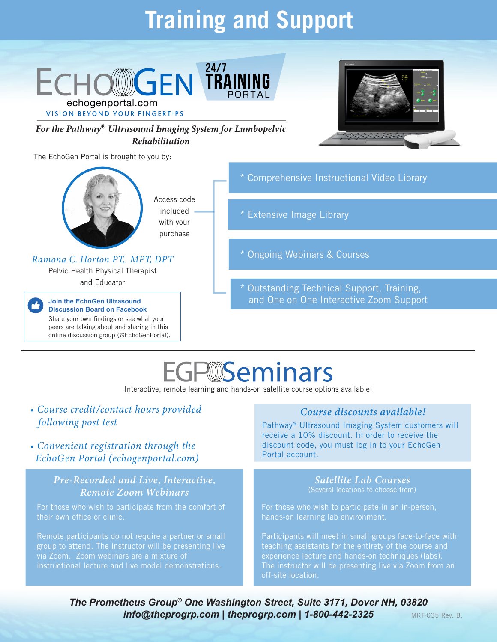# **Training and Support**



# WSeminars

Interactive, remote learning and hands-on satellite course options available!

### *• Course credit/contact hours provided following post test*

*• Convenient registration through the EchoGen Portal (echogenportal.com)*

#### *Pre-Recorded and Live, Interactive, Remote Zoom Webinars*

For those who wish to participate from the comfort of their own office or clinic.

Remote participants do not require a partner or small group to attend. The instructor will be presenting live via Zoom. Zoom webinars are a mixture of instructional lecture and live model demonstrations.

#### *Course discounts available!*

Pathway® Ultrasound Imaging System customers will receive a 10% discount. In order to receive the discount code, you must log in to your EchoGen Portal account.

#### *Satellite Lab Courses* (Several locations to choose from)

For those who wish to participate in an in-person, hands-on learning lab environment.

Participants will meet in small groups face-to-face with teaching assistants for the entirety of the course and experience lecture and hands-on techniques (labs). The instructor will be presenting live via Zoom from an off-site location.

*The Prometheus Group® One Washington Street, Suite 3171, Dover NH, 03820* **info@theprogrp.com | theprogrp.com | 1-800-442-2325 MKT-035 Rev. B.**